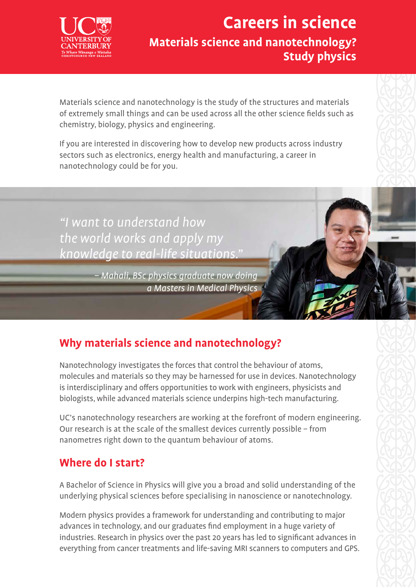

## **Careers in science Materials science and nanotechnology? Study physics**

Materials science and nanotechnology is the study of the structures and materials of extremely small things and can be used across all the other science fields such as chemistry, biology, physics and engineering.

If you are interested in discovering how to develop new products across industry sectors such as electronics, energy health and manufacturing, a career in nanotechnology could be for you.

"I want to understand how the world works and apply my knowledge to real-life situations."

> – Mahali, BSc physics graduate now doing a Masters in Medical Physics

## **Why materials science and nanotechnology?**

Nanotechnology investigates the forces that control the behaviour of atoms, molecules and materials so they may be harnessed for use in devices. Nanotechnology is interdisciplinary and offers opportunities to work with engineers, physicists and biologists, while advanced materials science underpins high-tech manufacturing.

UC's nanotechnology researchers are working at the forefront of modern engineering. Our research is at the scale of the smallest devices currently possible – from nanometres right down to the quantum behaviour of atoms.

### **Where do I start?**

A Bachelor of Science in Physics will give you a broad and solid understanding of the underlying physical sciences before specialising in nanoscience or nanotechnology.

Modern physics provides a framework for understanding and contributing to major advances in technology, and our graduates find employment in a huge variety of industries. Research in physics over the past 20 years has led to significant advances in everything from cancer treatments and life-saving MRI scanners to computers and GPS.